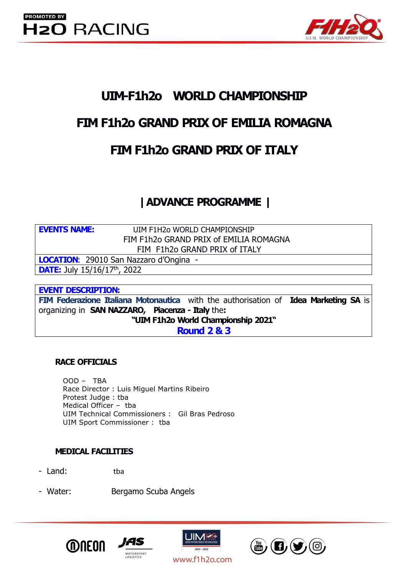

# **UIM-F1h2o WORLD CHAMPIONSHIP**

# **FIM F1h2o GRAND PRIX OF EMILIA ROMAGNA**

# **FIM F1h2o GRAND PRIX OF ITALY**

# **|ADVANCE PROGRAMME |**

**EVENTS NAME:** UIM F1H2o WORLD CHAMPIONSHIP FIM F1h2o GRAND PRIX of EMILIA ROMAGNA FIM F1h2o GRAND PRIX of ITALY

**LOCATION**: 29010 San Nazzaro d'Ongina -

**DATE:** July 15/16/17<sup>th</sup>, 2022

### **EVENT DESCRIPTION:**

**FIM Federazione Italiana Motonautica** with the authorisation of **Idea Marketing SA** is organizing in **SAN NAZZARO, Piacenza - Italy** the**: "UIM F1h2o World Championship 2021"**

**Round 2 & 3**

### **RACE OFFICIALS**

OOD – TBA Race Director : Luis Miguel Martins Ribeiro Protest Judge : tba Medical Officer – tba UIM Technical Commissioners : Gil Bras Pedroso UIM Sport Commissioner : tba

### **MEDICAL FACILITIES**

- Land: tba
- Water: Bergamo Scuba Angels







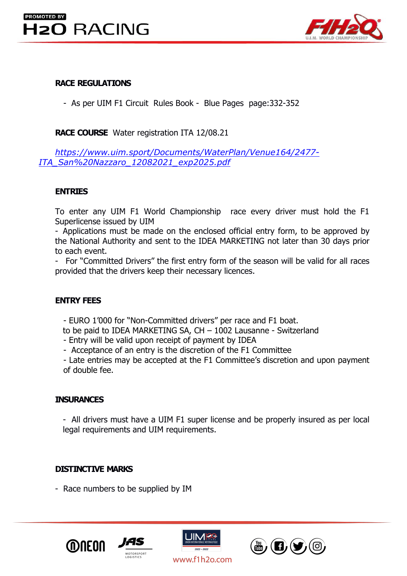## **PROMOTED BY H2O RACING**



### **RACE REGULATIONS**

- As per UIM F1 Circuit Rules Book - Blue Pages page:332-352

**RACE COURSE** Water registration ITA 12/08.21

*[https://www.uim.sport/Documents/WaterPlan/Venue164/2477-](https://www.uim.sport/Documents/WaterPlan/Venue164/2477-ITA_San Nazzaro_12082021_exp2025.pdf) ITA\_San%20Nazzaro\_12082021\_exp2025.pdf*

### **ENTRIES**

To enter any UIM F1 World Championship race every driver must hold the F1 Superlicense issued by UIM

- Applications must be made on the enclosed official entry form, to be approved by the National Authority and sent to the IDEA MARKETING not later than 30 days prior to each event.

- For "Committed Drivers" the first entry form of the season will be valid for all races provided that the drivers keep their necessary licences.

### **ENTRY FEES**

- EURO 1'000 for "Non-Committed drivers" per race and F1 boat.

to be paid to IDEA MARKETING SA, CH – 1002 Lausanne - Switzerland

- Entry will be valid upon receipt of payment by IDEA

- Acceptance of an entry is the discretion of the F1 Committee

- Late entries may be accepted at the F1 Committee's discretion and upon payment of double fee.

### **INSURANCES**

- All drivers must have a UIM F1 super license and be properly insured as per local legal requirements and UIM requirements.

### **DISTINCTIVE MARKS**

- Race numbers to be supplied by IM







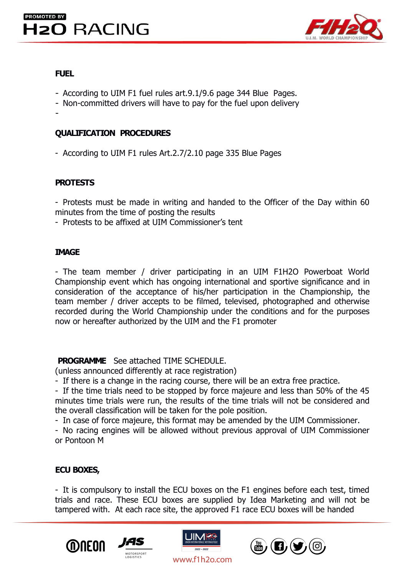

#### **FUEL**

- According to UIM F1 fuel rules art.9.1/9.6 page 344 Blue Pages.
- Non-committed drivers will have to pay for the fuel upon delivery

-

### **QUALIFICATION PROCEDURES**

- According to UIM F1 rules Art.2.7/2.10 page 335 Blue Pages

### **PROTESTS**

- Protests must be made in writing and handed to the Officer of the Day within 60 minutes from the time of posting the results

- Protests to be affixed at UIM Commissioner's tent

#### **IMAGE**

- The team member / driver participating in an UIM F1H2O Powerboat World Championship event which has ongoing international and sportive significance and in consideration of the acceptance of his/her participation in the Championship, the team member / driver accepts to be filmed, televised, photographed and otherwise recorded during the World Championship under the conditions and for the purposes now or hereafter authorized by the UIM and the F1 promoter

**PROGRAMME** See attached TIME SCHEDULE.

(unless announced differently at race registration)

- If there is a change in the racing course, there will be an extra free practice.

- If the time trials need to be stopped by force majeure and less than 50% of the 45 minutes time trials were run, the results of the time trials will not be considered and the overall classification will be taken for the pole position.

- In case of force majeure, this format may be amended by the UIM Commissioner.

- No racing engines will be allowed without previous approval of UIM Commissioner or Pontoon M

### **ECU BOXES,**

- It is compulsory to install the ECU boxes on the F1 engines before each test, timed trials and race. These ECU boxes are supplied by Idea Marketing and will not be tampered with. At each race site, the approved F1 race ECU boxes will be handed







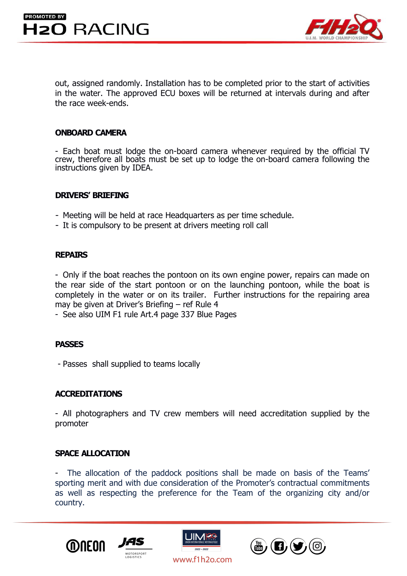

out, assigned randomly. Installation has to be completed prior to the start of activities in the water. The approved ECU boxes will be returned at intervals during and after the race week-ends.

#### **ONBOARD CAMERA**

- Each boat must lodge the on-board camera whenever required by the officialTV crew, therefore all boats must be set up to lodge the on-board camera following the instructions given by IDEA.

#### **DRIVERS' BRIEFING**

- Meeting will be held at race Headquarters as per time schedule.
- It is compulsory to be present at drivers meeting roll call

#### **REPAIRS**

- Only if the boat reaches the pontoon on its own engine power, repairs can made on the rear side of the start pontoon or on the launching pontoon, while the boat is completely in the water or on its trailer. Further instructions for the repairing area may be given at Driver's Briefing – ref Rule 4

- See also UIM F1 rule Art.4 page 337 Blue Pages

#### **PASSES**

- Passes shall supplied to teams locally

#### **ACCREDITATIONS**

- All photographers and TV crew members will need accreditation supplied by the promoter

#### **SPACE ALLOCATION**

- The allocation of the paddock positions shall be made on basis of the Teams' sporting merit and with due consideration of the Promoter's contractual commitments as well as respecting the preference for the Team of the organizing city and/or country.